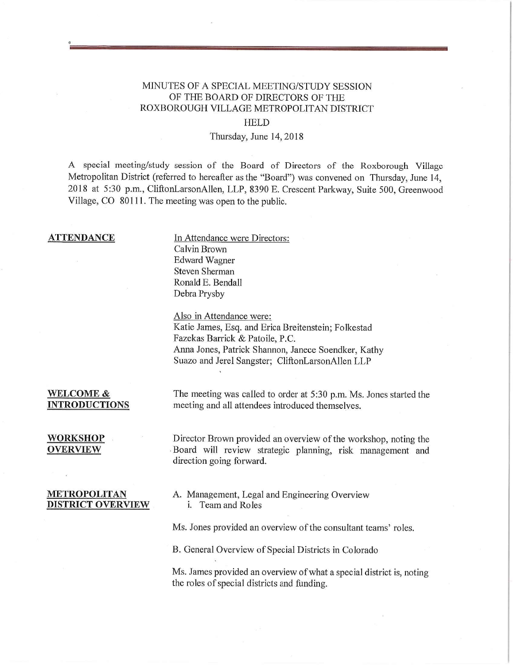## MINUTES OF A SPECIAL MEETING/STUDY SESSION OF THE BOARD OF DIRECTORS OF THE ROXBOROUGH VILLAGE METROPOLITAN DISTRICT

### HELD

### Thursday, June 14, 2018

A special meeting/study session of the Board of Directors of the Roxborough Village Metropolitan District (referred to hereafter as the "Board") was convened on Thursday, June 14, 2018 at *5:30* p.m., CliftonLarsonAllen, LLP, 8390 E. Crescent Parkway, Suite 500, Greenwood Village, CO 80111. The meeting was open to the public.

**ATTENDANCE** In Attendance were Directors: Calvin Brown Edward Wagner Steven Sherman Ronald E. Bendall Debra Prysby

Also in Attendance were:

Katie James, Esq. and Erica Breitenstein; Folkestad Fazekas Barrick & Patoile, P.C. Anna Jones, Patrick Shannon, Janece Soendker, Kathy Suazo and Jerel Sangster; CliftonLarsonAllen LLP

**WELCOME &** The meeting was called to order at 5:30 p.m. Ms. Jones started the **INTRODUCTIONS** meeting and all attendees introduced themselves.

**WORKSHOP Director Brown provided an overview of the workshop, noting the <br>
<b>OVERVIEW** Board will review strategic planning, risk management and Board will review strategic planning, risk management and direction going forward.

# **DISTRICT OVERVIEW i. Team and Roles**

**METROPOLITAN** A. Management, Legal and Engineering Overview

Ms. Jones provided an overview of the consultant teams' roles.

B. General Overview of Special Districts in Colorado

Ms. James provided an overview of what a special district is, noting the roles of special districts and funding.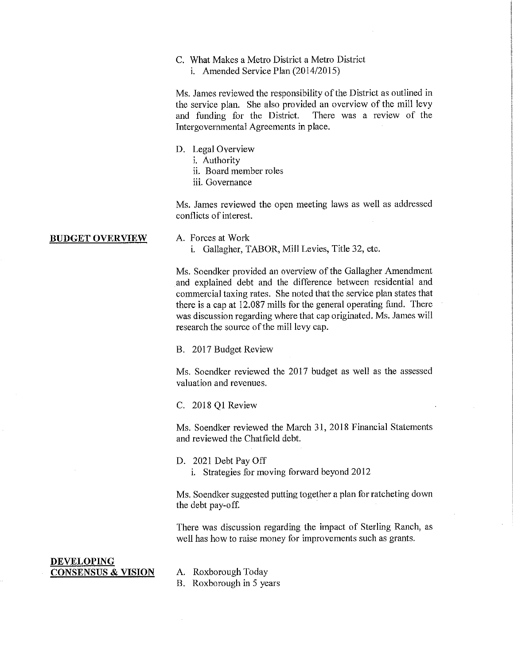### C. What Makes a Metro District a Metro District i.Amended Service Plan (2014/2015)

Ms. James reviewed the responsibility of the District as outlined in the service plan. She also provided an overview of the mill levy and funding for the District. There was a review of the Intergovernmental Agreements in place.

- D. Legal Overview
	- i. Authority
	- ii. Board member roles
	- iii. Governance

Ms. James reviewed the open meeting laws as well as addressed conflicts of interest.

### **BUDGET OVERVIEW A. Forces at Work**

i. Gallagher, TABOR, Mill Levies, Title 32, etc.

Ms. Soendker provided an overview of the Gallagher Amendment and explained debt and the difference between residential and commercial taxing rates. She noted that the service plan states that there is a cap at 12.087 mills for the general operating fund. There was discussion regarding where that cap originated. Ms. James will research the source of the mill levy cap.

B. 2017 Budget Review

Ms. Soendker reviewed the 2017 budget as well as the assessed valuation and revenues.

C. 2018 Q1 Review

Ms. Soendker reviewed the March 31, 2018 Financial Statements and reviewed the Chatfield debt.

D. 2021 Debt Pay Off

i. Strategies for moving forward beyond 2012

Ms. Soendker suggested putting together a plan for ratcheting down the debt pay-off.

There was discussion regarding the impact of Sterling Ranch, as well has how to raise money for improvements such as grants.

### **DEVELOPING CONSENSUS** & **VISION** A. Roxborough Today

- 
- B. Roxborough in 5 years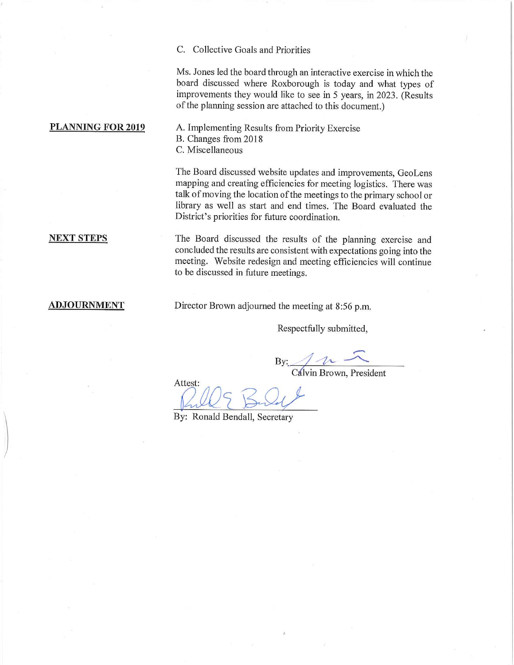C. Collective Goals and Priorities

Ms. Jones led the board through an interactive exercise in which the board discussed where Roxborough is today and what types of improvements they would like to see in 5 years, in 2023. (Results of the planning session are attached to this document.)

PLANNING FOR 2019 A. Implementing Results from Priority Exercise B. Changes from 2018 C. Miscellaneous

> The Board discussed website updates and improvements, GeoLens mapping and creating efficiencies for meeting logistics. There was talk of moving the location of the meetings to the primary school or library as well as start and end times. The Board evaluated the District's priorities for future coordination.

**NEXT STEPS** The Board discussed the results of the planning exercise and concluded the results are consistent with expectations going into the meeting. Website redesign and meeting efficiencies will continue to be discussed in future meetings.

**ADJOURNMENT** Director Brown adjourned the meeting at *8:56* p.m.

Respectfully submitted,

 $By: 10^{-10}$ 

Cdivin Brown, President

Attest:

By: Ronald Bendall, Secretary